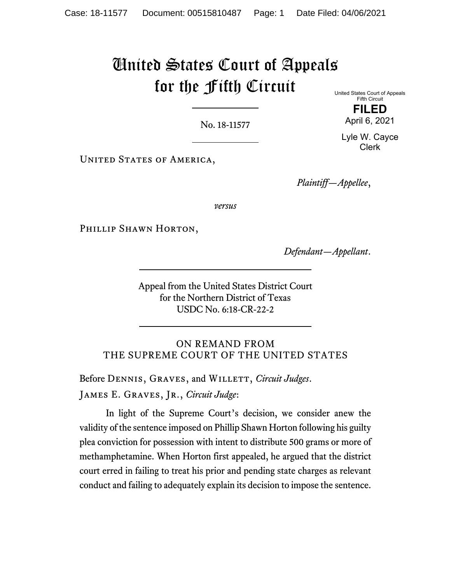# United States Court of Appeals for the Fifth Circuit

No. 18-11577

United States Court of Appeals Fifth Circuit **FILED** 

Lyle W. Cayce Clerk

April 6, 2021

UNITED STATES OF AMERICA,

*Plaintiff—Appellee*,

*versus*

PHILLIP SHAWN HORTON,

*Defendant—Appellant*.

Appeal from the United States District Court for the Northern District of Texas USDC No. 6:18-CR-22-2

ON REMAND FROM THE SUPREME COURT OF THE UNITED STATES

Before DENNIS, GRAVES, and WILLETT, *Circuit Judges*. James E. Graves, Jr., *Circuit Judge*:

In light of the Supreme Court's decision, we consider anew the validity of the sentence imposed on Phillip Shawn Horton following his guilty plea conviction for possession with intent to distribute 500 grams or more of methamphetamine. When Horton first appealed, he argued that the district court erred in failing to treat his prior and pending state charges as relevant conduct and failing to adequately explain its decision to impose the sentence.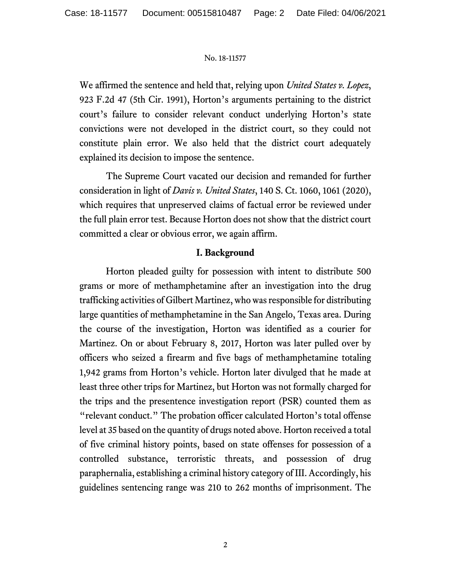We affirmed the sentence and held that, relying upon *United States v. Lopez*, 923 F.2d 47 (5th Cir. 1991), Horton's arguments pertaining to the district court's failure to consider relevant conduct underlying Horton's state convictions were not developed in the district court, so they could not constitute plain error. We also held that the district court adequately explained its decision to impose the sentence.

The Supreme Court vacated our decision and remanded for further consideration in light of *Davis v. United States*, 140 S. Ct. 1060, 1061 (2020), which requires that unpreserved claims of factual error be reviewed under the full plain error test. Because Horton does not show that the district court committed a clear or obvious error, we again affirm.

## **I. Background**

Horton pleaded guilty for possession with intent to distribute 500 grams or more of methamphetamine after an investigation into the drug trafficking activities of Gilbert Martinez, who was responsible for distributing large quantities of methamphetamine in the San Angelo, Texas area. During the course of the investigation, Horton was identified as a courier for Martinez. On or about February 8, 2017, Horton was later pulled over by officers who seized a firearm and five bags of methamphetamine totaling 1,942 grams from Horton's vehicle. Horton later divulged that he made at least three other trips for Martinez, but Horton was not formally charged for the trips and the presentence investigation report (PSR) counted them as "relevant conduct." The probation officer calculated Horton's total offense level at 35 based on the quantity of drugs noted above. Horton received a total of five criminal history points, based on state offenses for possession of a controlled substance, terroristic threats, and possession of drug paraphernalia, establishing a criminal history category of III. Accordingly, his guidelines sentencing range was 210 to 262 months of imprisonment. The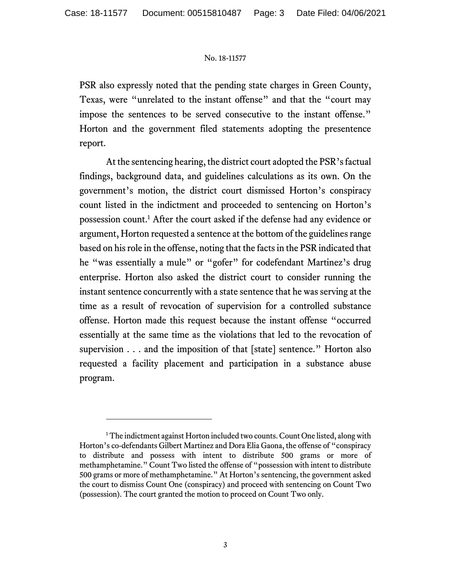PSR also expressly noted that the pending state charges in Green County, Texas, were "unrelated to the instant offense" and that the "court may impose the sentences to be served consecutive to the instant offense." Horton and the government filed statements adopting the presentence report.

At the sentencing hearing, the district court adopted the PSR's factual findings, background data, and guidelines calculations as its own. On the government's motion, the district court dismissed Horton's conspiracy count listed in the indictment and proceeded to sentencing on Horton's possession count.<sup>1</sup> After the court asked if the defense had any evidence or argument, Horton requested a sentence at the bottom of the guidelines range based on his role in the offense, noting that the facts in the PSR indicated that he "was essentially a mule" or "gofer" for codefendant Martinez's drug enterprise. Horton also asked the district court to consider running the instant sentence concurrently with a state sentence that he was serving at the time as a result of revocation of supervision for a controlled substance offense. Horton made this request because the instant offense "occurred essentially at the same time as the violations that led to the revocation of supervision . . . and the imposition of that [state] sentence." Horton also requested a facility placement and participation in a substance abuse program.

<sup>&</sup>lt;sup>1</sup> The indictment against Horton included two counts. Count One listed, along with Horton's co-defendants Gilbert Martinez and Dora Elia Gaona, the offense of "conspiracy to distribute and possess with intent to distribute 500 grams or more of methamphetamine." Count Two listed the offense of "possession with intent to distribute 500 grams or more of methamphetamine." At Horton's sentencing, the government asked the court to dismiss Count One (conspiracy) and proceed with sentencing on Count Two (possession). The court granted the motion to proceed on Count Two only.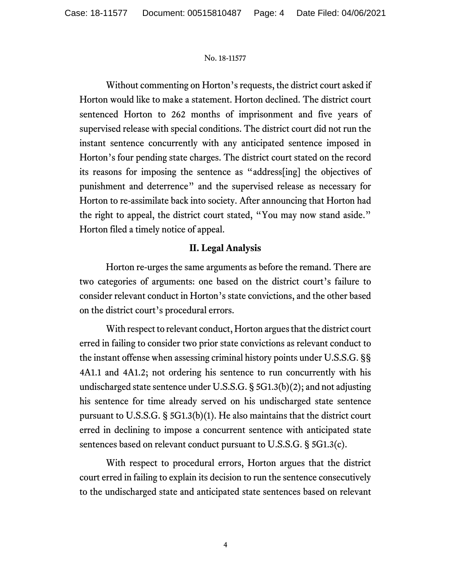Without commenting on Horton's requests, the district court asked if Horton would like to make a statement. Horton declined. The district court sentenced Horton to 262 months of imprisonment and five years of supervised release with special conditions. The district court did not run the instant sentence concurrently with any anticipated sentence imposed in Horton's four pending state charges. The district court stated on the record its reasons for imposing the sentence as "address[ing] the objectives of punishment and deterrence" and the supervised release as necessary for Horton to re-assimilate back into society. After announcing that Horton had the right to appeal, the district court stated, "You may now stand aside." Horton filed a timely notice of appeal.

# **II. Legal Analysis**

Horton re-urges the same arguments as before the remand. There are two categories of arguments: one based on the district court's failure to consider relevant conduct in Horton's state convictions, and the other based on the district court's procedural errors.

With respect to relevant conduct, Horton argues that the district court erred in failing to consider two prior state convictions as relevant conduct to the instant offense when assessing criminal history points under U.S.S.G. §§ 4A1.1 and 4A1.2; not ordering his sentence to run concurrently with his undischarged state sentence under U.S.S.G. § 5G1.3(b)(2); and not adjusting his sentence for time already served on his undischarged state sentence pursuant to U.S.S.G. § 5G1.3(b)(1). He also maintains that the district court erred in declining to impose a concurrent sentence with anticipated state sentences based on relevant conduct pursuant to U.S.S.G. § 5G1.3(c).

With respect to procedural errors, Horton argues that the district court erred in failing to explain its decision to run the sentence consecutively to the undischarged state and anticipated state sentences based on relevant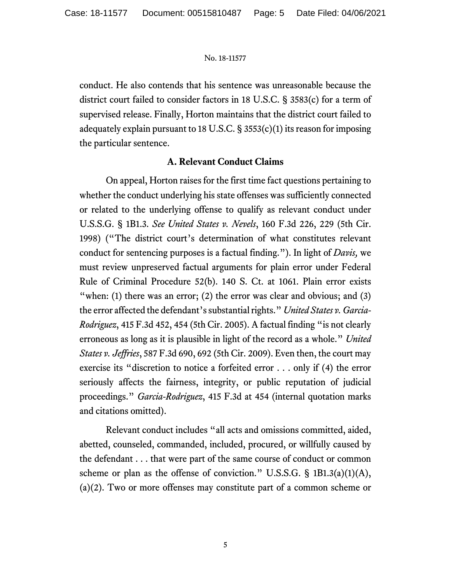conduct. He also contends that his sentence was unreasonable because the district court failed to consider factors in 18 U.S.C. § 3583(c) for a term of supervised release. Finally, Horton maintains that the district court failed to adequately explain pursuant to 18 U.S.C.  $\S$  3553(c)(1) its reason for imposing the particular sentence.

## **A. Relevant Conduct Claims**

On appeal, Horton raises for the first time fact questions pertaining to whether the conduct underlying his state offenses was sufficiently connected or related to the underlying offense to qualify as relevant conduct under U.S.S.G. § 1B1.3. *See United States v. Nevels*, 160 F.3d 226, 229 (5th Cir. 1998) ("The district court's determination of what constitutes relevant conduct for sentencing purposes is a factual finding."). In light of *Davis,* we must review unpreserved factual arguments for plain error under Federal Rule of Criminal Procedure 52(b). 140 S. Ct. at 1061. Plain error exists "when: (1) there was an error; (2) the error was clear and obvious; and (3) the error affected the defendant's substantial rights." *United States v. Garcia-Rodriguez*, 415 F.3d 452, 454 (5th Cir. 2005). A factual finding "is not clearly erroneous as long as it is plausible in light of the record as a whole." *United States v. Jeffries*, 587 F.3d 690, 692 (5th Cir. 2009). Even then, the court may exercise its "discretion to notice a forfeited error . . . only if (4) the error seriously affects the fairness, integrity, or public reputation of judicial proceedings." *Garcia-Rodriguez*, 415 F.3d at 454 (internal quotation marks and citations omitted).

 Relevant conduct includes "all acts and omissions committed, aided, abetted, counseled, commanded, included, procured, or willfully caused by the defendant . . . that were part of the same course of conduct or common scheme or plan as the offense of conviction." U.S.S.G.  $\S$  1B1.3(a)(1)(A), (a)(2). Two or more offenses may constitute part of a common scheme or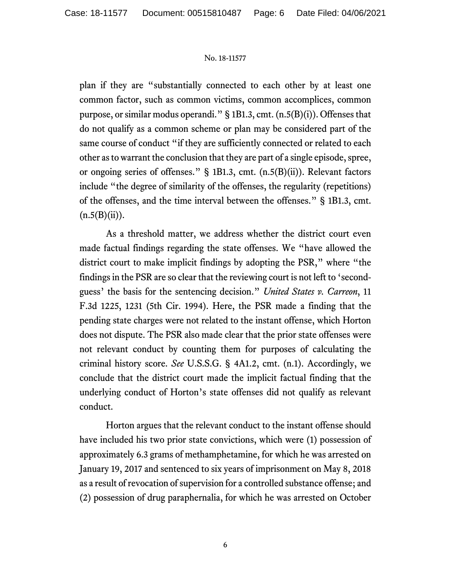plan if they are "substantially connected to each other by at least one common factor, such as common victims, common accomplices, common purpose, or similar modus operandi." § 1B1.3, cmt. (n.5(B)(i)). Offenses that do not qualify as a common scheme or plan may be considered part of the same course of conduct "if they are sufficiently connected or related to each other as to warrant the conclusion that they are part of a single episode, spree, or ongoing series of offenses." § 1B1.3, cmt. (n.5(B)(ii)). Relevant factors include "the degree of similarity of the offenses, the regularity (repetitions) of the offenses, and the time interval between the offenses." § 1B1.3, cmt.  $(n.5(B)(ii)).$ 

As a threshold matter, we address whether the district court even made factual findings regarding the state offenses. We "have allowed the district court to make implicit findings by adopting the PSR," where "the findings in the PSR are so clear that the reviewing court is not left to 'secondguess' the basis for the sentencing decision." *United States v. Carreon*, 11 F.3d 1225, 1231 (5th Cir. 1994). Here, the PSR made a finding that the pending state charges were not related to the instant offense, which Horton does not dispute. The PSR also made clear that the prior state offenses were not relevant conduct by counting them for purposes of calculating the criminal history score. *See* U.S.S.G. § 4A1.2, cmt. (n.1). Accordingly, we conclude that the district court made the implicit factual finding that the underlying conduct of Horton's state offenses did not qualify as relevant conduct.

 Horton argues that the relevant conduct to the instant offense should have included his two prior state convictions, which were (1) possession of approximately 6.3 grams of methamphetamine, for which he was arrested on January 19, 2017 and sentenced to six years of imprisonment on May 8, 2018 as a result of revocation of supervision for a controlled substance offense; and (2) possession of drug paraphernalia, for which he was arrested on October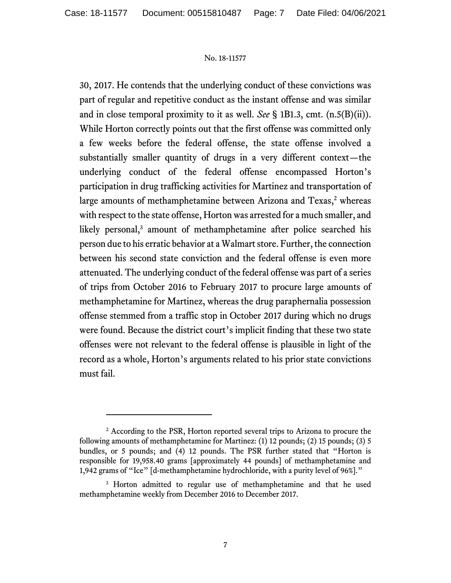30, 2017. He contends that the underlying conduct of these convictions was part of regular and repetitive conduct as the instant offense and was similar and in close temporal proximity to it as well. *See* § 1B1.3, cmt. (n.5(B)(ii)). While Horton correctly points out that the first offense was committed only a few weeks before the federal offense, the state offense involved a substantially smaller quantity of drugs in a very different context—the underlying conduct of the federal offense encompassed Horton's participation in drug trafficking activities for Martinez and transportation of large amounts of methamphetamine between Arizona and Texas,<sup>2</sup> whereas with respect to the state offense, Horton was arrested for a much smaller, and likely personal,<sup>3</sup> amount of methamphetamine after police searched his person due to his erratic behavior at a Walmart store. Further, the connection between his second state conviction and the federal offense is even more attenuated. The underlying conduct of the federal offense was part of a series of trips from October 2016 to February 2017 to procure large amounts of methamphetamine for Martinez, whereas the drug paraphernalia possession offense stemmed from a traffic stop in October 2017 during which no drugs were found. Because the district court's implicit finding that these two state offenses were not relevant to the federal offense is plausible in light of the record as a whole, Horton's arguments related to his prior state convictions must fail.

<sup>&</sup>lt;sup>2</sup> According to the PSR, Horton reported several trips to Arizona to procure the following amounts of methamphetamine for Martinez: (1) 12 pounds; (2) 15 pounds; (3) 5 bundles, or 5 pounds; and (4) 12 pounds. The PSR further stated that "Horton is responsible for 19,958.40 grams [approximately 44 pounds] of methamphetamine and 1,942 grams of "Ice" [d-methamphetamine hydrochloride, with a purity level of 96%]."

<sup>&</sup>lt;sup>3</sup> Horton admitted to regular use of methamphetamine and that he used methamphetamine weekly from December 2016 to December 2017.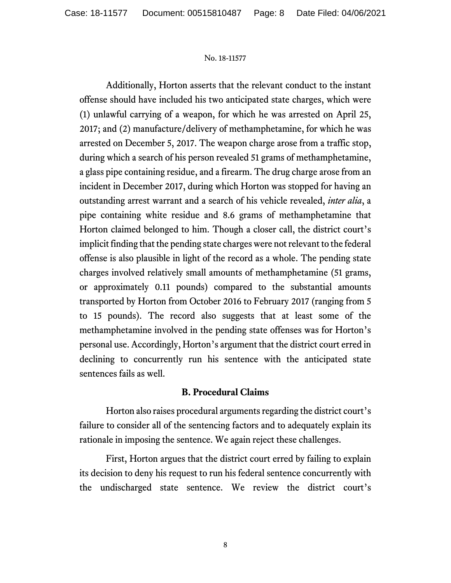Additionally, Horton asserts that the relevant conduct to the instant offense should have included his two anticipated state charges, which were (1) unlawful carrying of a weapon, for which he was arrested on April 25, 2017; and (2) manufacture/delivery of methamphetamine, for which he was arrested on December 5, 2017. The weapon charge arose from a traffic stop, during which a search of his person revealed 51 grams of methamphetamine, a glass pipe containing residue, and a firearm. The drug charge arose from an incident in December 2017, during which Horton was stopped for having an outstanding arrest warrant and a search of his vehicle revealed, *inter alia*, a pipe containing white residue and 8.6 grams of methamphetamine that Horton claimed belonged to him. Though a closer call, the district court's implicit finding that the pending state charges were not relevant to the federal offense is also plausible in light of the record as a whole. The pending state charges involved relatively small amounts of methamphetamine (51 grams, or approximately 0.11 pounds) compared to the substantial amounts transported by Horton from October 2016 to February 2017 (ranging from 5 to 15 pounds). The record also suggests that at least some of the methamphetamine involved in the pending state offenses was for Horton's personal use. Accordingly, Horton's argument that the district court erred in declining to concurrently run his sentence with the anticipated state sentences fails as well.

## **B. Procedural Claims**

Horton also raises procedural arguments regarding the district court's failure to consider all of the sentencing factors and to adequately explain its rationale in imposing the sentence. We again reject these challenges.

First, Horton argues that the district court erred by failing to explain its decision to deny his request to run his federal sentence concurrently with the undischarged state sentence. We review the district court's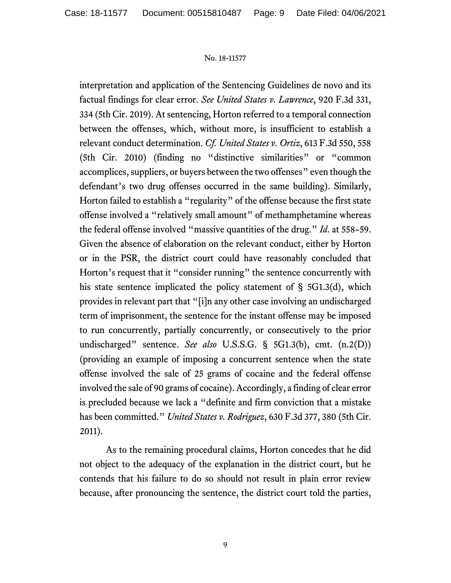interpretation and application of the Sentencing Guidelines de novo and its factual findings for clear error. *See United States v. Lawrence*, 920 F.3d 331, 334 (5th Cir. 2019). At sentencing, Horton referred to a temporal connection between the offenses, which, without more, is insufficient to establish a relevant conduct determination. *Cf. United States v. Ortiz*, 613 F.3d 550, 558 (5th Cir. 2010) (finding no "distinctive similarities" or "common accomplices, suppliers, or buyers between the two offenses" even though the defendant's two drug offenses occurred in the same building). Similarly, Horton failed to establish a "regularity" of the offense because the first state offense involved a "relatively small amount" of methamphetamine whereas the federal offense involved "massive quantities of the drug." *Id*. at 558–59. Given the absence of elaboration on the relevant conduct, either by Horton or in the PSR, the district court could have reasonably concluded that Horton's request that it "consider running" the sentence concurrently with his state sentence implicated the policy statement of § 5G1.3(d), which provides in relevant part that "[i]n any other case involving an undischarged term of imprisonment, the sentence for the instant offense may be imposed to run concurrently, partially concurrently, or consecutively to the prior undischarged" sentence. *See also* U.S.S.G. § 5G1.3(b), cmt. (n.2(D)) (providing an example of imposing a concurrent sentence when the state offense involved the sale of 25 grams of cocaine and the federal offense involved the sale of 90 grams of cocaine). Accordingly, a finding of clear error is precluded because we lack a "definite and firm conviction that a mistake has been committed." *United States v. Rodriguez*, 630 F.3d 377, 380 (5th Cir. 2011).

As to the remaining procedural claims, Horton concedes that he did not object to the adequacy of the explanation in the district court, but he contends that his failure to do so should not result in plain error review because, after pronouncing the sentence, the district court told the parties,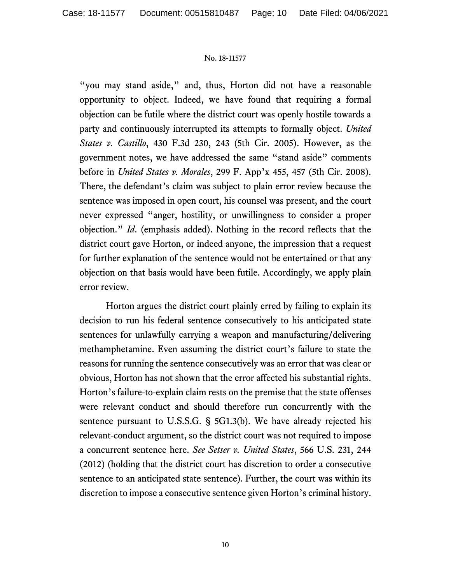"you may stand aside," and, thus, Horton did not have a reasonable opportunity to object. Indeed, we have found that requiring a formal objection can be futile where the district court was openly hostile towards a party and continuously interrupted its attempts to formally object. *United States v. Castillo*, 430 F.3d 230, 243 (5th Cir. 2005). However, as the government notes, we have addressed the same "stand aside" comments before in *United States v. Morales*, 299 F. App'x 455, 457 (5th Cir. 2008). There, the defendant's claim was subject to plain error review because the sentence was imposed in open court, his counsel was present, and the court never expressed "anger, hostility, or unwillingness to consider a proper objection." *Id*. (emphasis added). Nothing in the record reflects that the district court gave Horton, or indeed anyone, the impression that a request for further explanation of the sentence would not be entertained or that any objection on that basis would have been futile. Accordingly, we apply plain error review.

Horton argues the district court plainly erred by failing to explain its decision to run his federal sentence consecutively to his anticipated state sentences for unlawfully carrying a weapon and manufacturing/delivering methamphetamine. Even assuming the district court's failure to state the reasons for running the sentence consecutively was an error that was clear or obvious, Horton has not shown that the error affected his substantial rights. Horton's failure-to-explain claim rests on the premise that the state offenses were relevant conduct and should therefore run concurrently with the sentence pursuant to U.S.S.G. § 5G1.3(b). We have already rejected his relevant-conduct argument, so the district court was not required to impose a concurrent sentence here. *See Setser v. United States*, 566 U.S. 231, 244 (2012) (holding that the district court has discretion to order a consecutive sentence to an anticipated state sentence). Further, the court was within its discretion to impose a consecutive sentence given Horton's criminal history.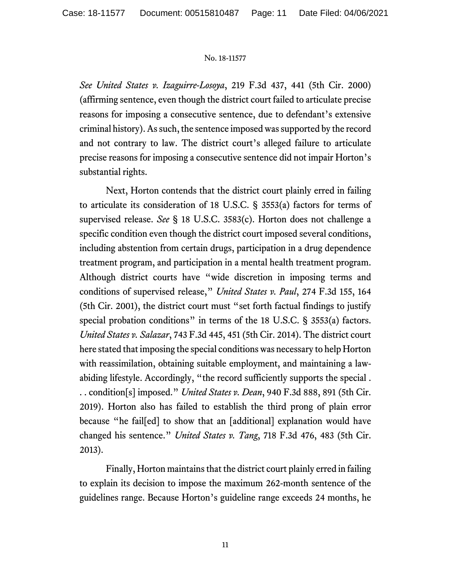*See United States v. Izaguirre-Losoya*, 219 F.3d 437, 441 (5th Cir. 2000) (affirming sentence, even though the district court failed to articulate precise reasons for imposing a consecutive sentence, due to defendant's extensive criminal history). As such, the sentence imposed was supported by the record and not contrary to law. The district court's alleged failure to articulate precise reasons for imposing a consecutive sentence did not impair Horton's substantial rights.

Next, Horton contends that the district court plainly erred in failing to articulate its consideration of 18 U.S.C. § 3553(a) factors for terms of supervised release. *See* § 18 U.S.C. 3583(c). Horton does not challenge a specific condition even though the district court imposed several conditions, including abstention from certain drugs, participation in a drug dependence treatment program, and participation in a mental health treatment program. Although district courts have "wide discretion in imposing terms and conditions of supervised release," *United States v. Paul*, 274 F.3d 155, 164 (5th Cir. 2001), the district court must "set forth factual findings to justify special probation conditions" in terms of the 18 U.S.C. § 3553(a) factors. *United States v. Salazar*, 743 F.3d 445, 451 (5th Cir. 2014). The district court here stated that imposing the special conditions was necessary to help Horton with reassimilation, obtaining suitable employment, and maintaining a lawabiding lifestyle. Accordingly, "the record sufficiently supports the special . . . condition[s] imposed." *United States v. Dean*, 940 F.3d 888, 891 (5th Cir. 2019). Horton also has failed to establish the third prong of plain error because "he fail[ed] to show that an [additional] explanation would have changed his sentence." *United States v. Tang*, 718 F.3d 476, 483 (5th Cir. 2013).

Finally, Horton maintains that the district court plainly erred in failing to explain its decision to impose the maximum 262-month sentence of the guidelines range. Because Horton's guideline range exceeds 24 months, he